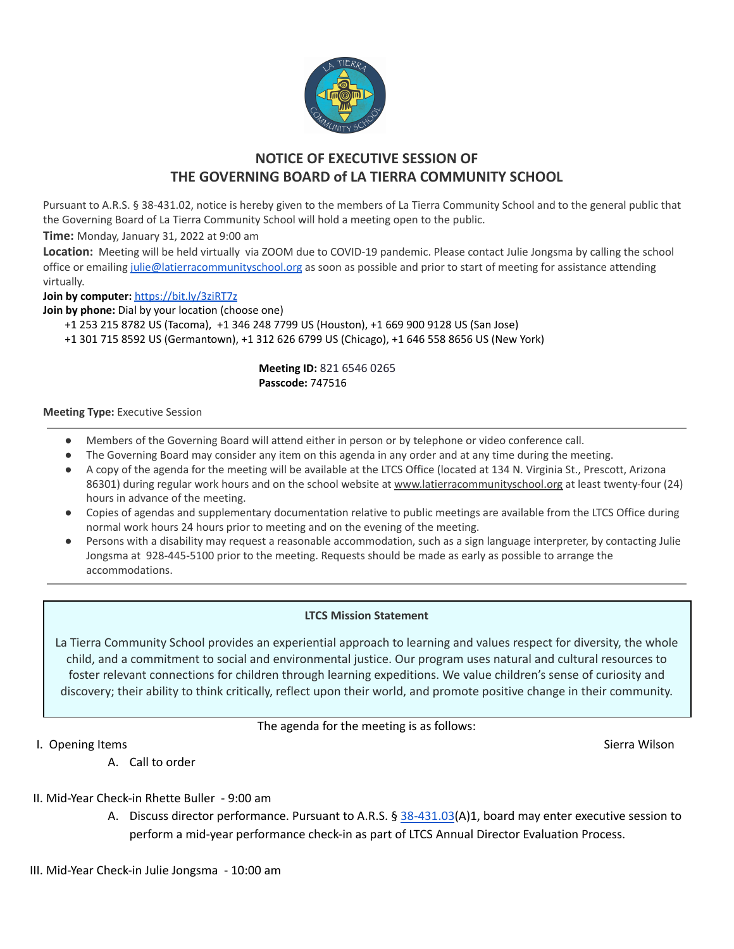

# **NOTICE OF EXECUTIVE SESSION OF THE GOVERNING BOARD of LA TIERRA COMMUNITY SCHOOL**

Pursuant to A.R.S. § 38-431.02, notice is hereby given to the members of La Tierra Community School and to the general public that the Governing Board of La Tierra Community School will hold a meeting open to the public.

**Time:** Monday, January 31, 2022 at 9:00 am

**Location:** Meeting will be held virtually via ZOOM due to COVID-19 pandemic. Please contact Julie Jongsma by calling the school office or emailing [julie@latierracommunityschool.org](mailto:julie@latierracommunityschool.org) as soon as possible and prior to start of meeting for assistance attending virtually.

**Join by computer:** <https://bit.ly/3ziRT7z>

**Join by phone:** Dial by your location (choose one)

+1 253 215 8782 US (Tacoma), +1 346 248 7799 US (Houston), +1 669 900 9128 US (San Jose)

+1 301 715 8592 US (Germantown), +1 312 626 6799 US (Chicago), +1 646 558 8656 US (New York)

## **Meeting ID:** 821 6546 0265 **Passcode:** 747516

#### **Meeting Type:** Executive Session

- Members of the Governing Board will attend either in person or by telephone or video conference call.
- The Governing Board may consider any item on this agenda in any order and at any time during the meeting.
- A copy of the agenda for the meeting will be available at the LTCS Office (located at 134 N. Virginia St., Prescott, Arizona 86301) during regular work hours and on the school website at [www.latierracommunityschool.org](http://www.latierracommunityschool.org) at least twenty-four (24) hours in advance of the meeting.
- Copies of agendas and supplementary documentation relative to public meetings are available from the LTCS Office during normal work hours 24 hours prior to meeting and on the evening of the meeting.
- Persons with a disability may request a reasonable accommodation, such as a sign language interpreter, by contacting Julie Jongsma at 928-445-5100 prior to the meeting. Requests should be made as early as possible to arrange the accommodations.

## **LTCS Mission Statement**

La Tierra Community School provides an experiential approach to learning and values respect for diversity, the whole child, and a commitment to social and environmental justice. Our program uses natural and cultural resources to foster relevant connections for children through learning expeditions. We value children's sense of curiosity and discovery; their ability to think critically, reflect upon their world, and promote positive change in their community.

The agenda for the meeting is as follows:

I. Opening Items Sierra Wilson Sierra Wilson Sierra Wilson Sierra Wilson Sierra Wilson Sierra Wilson Sierra Wilson

A. Call to order

- II. Mid-Year Check-in Rhette Buller 9:00 am
	- A. Discuss director performance. Pursuant to A.R.S. § [38-431.03](http://www.azleg.gov/viewdocument/?docName=http://www.azleg.gov/ars/38/00431-03.htm)(A)1, board may enter executive session to perform a mid-year performance check-in as part of LTCS Annual Director Evaluation Process.